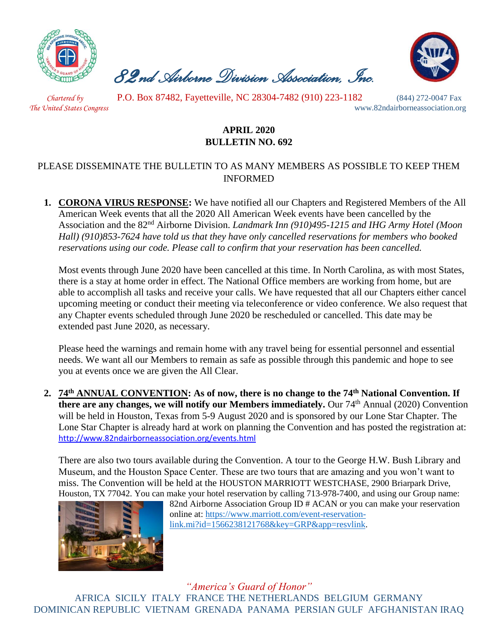

 *82nd Airborne Division Association, Inc.* 



 *Chartered by* P.O. Box 87482, Fayetteville, NC 28304-7482 (910) 223-1182 (844) 272-0047 Fax

*The United States Congress* www.82ndairborneassociation.org

## **APRIL 2020 BULLETIN NO. 692**

## PLEASE DISSEMINATE THE BULLETIN TO AS MANY MEMBERS AS POSSIBLE TO KEEP THEM INFORMED

**1. CORONA VIRUS RESPONSE:** We have notified all our Chapters and Registered Members of the All American Week events that all the 2020 All American Week events have been cancelled by the Association and the 82nd Airborne Division. *Landmark Inn (910)495-1215 and IHG Army Hotel (Moon Hall) (910)853-7624 have told us that they have only cancelled reservations for members who booked reservations using our code. Please call to confirm that your reservation has been cancelled.*

Most events through June 2020 have been cancelled at this time. In North Carolina, as with most States, there is a stay at home order in effect. The National Office members are working from home, but are able to accomplish all tasks and receive your calls. We have requested that all our Chapters either cancel upcoming meeting or conduct their meeting via teleconference or video conference. We also request that any Chapter events scheduled through June 2020 be rescheduled or cancelled. This date may be extended past June 2020, as necessary.

Please heed the warnings and remain home with any travel being for essential personnel and essential needs. We want all our Members to remain as safe as possible through this pandemic and hope to see you at events once we are given the All Clear.

**2. 74th ANNUAL CONVENTION: As of now, there is no change to the 74th National Convention. If there are any changes, we will notify our Members immediately.** Our 74th Annual (2020) Convention will be held in Houston, Texas from 5-9 August 2020 and is sponsored by our Lone Star Chapter. The Lone Star Chapter is already hard at work on planning the Convention and has posted the registration at: <http://www.82ndairborneassociation.org/events.html>

There are also two tours available during the Convention. A tour to the George H.W. Bush Library and Museum, and the Houston Space Center. These are two tours that are amazing and you won't want to miss. The Convention will be held at the HOUSTON MARRIOTT WESTCHASE, 2900 Briarpark Drive, Houston, TX 77042. You can make your hotel reservation by calling 713-978-7400, and using our Group name:



82nd Airborne Association Group ID # ACAN or you can make your reservation online at: [https://www.marriott.com/event-reservation](https://www.marriott.com/event-reservation-link.mi?id=1566238121768&key=GRP&app=resvlink)[link.mi?id=1566238121768&key=GRP&app=resvlink.](https://www.marriott.com/event-reservation-link.mi?id=1566238121768&key=GRP&app=resvlink)

*"America's Guard of Honor"* AFRICA SICILY ITALY FRANCE THE NETHERLANDS BELGIUM GERMANY DOMINICAN REPUBLIC VIETNAM GRENADA PANAMA PERSIAN GULF AFGHANISTAN IRAQ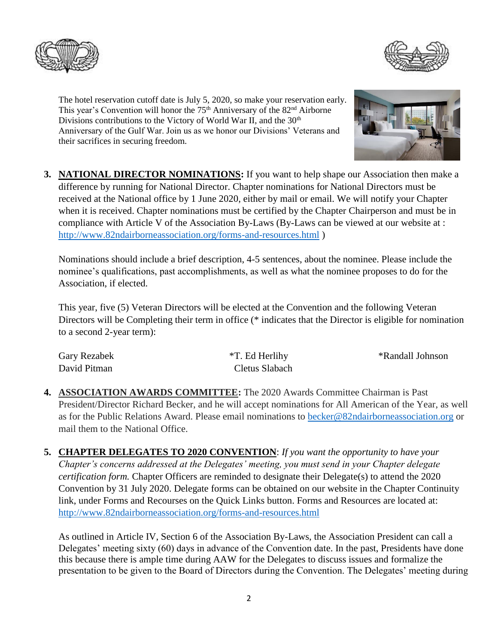

The hotel reservation cutoff date is July 5, 2020, so make your reservation early. This year's Convention will honor the  $75<sup>th</sup>$  Anniversary of the  $82<sup>nd</sup>$  Airborne Divisions contributions to the Victory of World War II, and the 30<sup>th</sup> Anniversary of the Gulf War. Join us as we honor our Divisions' Veterans and their sacrifices in securing freedom.



**3. NATIONAL DIRECTOR NOMINATIONS:** If you want to help shape our Association then make a difference by running for National Director. Chapter nominations for National Directors must be received at the National office by 1 June 2020, either by mail or email. We will notify your Chapter when it is received. Chapter nominations must be certified by the Chapter Chairperson and must be in compliance with Article V of the Association By-Laws (By-Laws can be viewed at our website at : <http://www.82ndairborneassociation.org/forms-and-resources.html> )

Nominations should include a brief description, 4-5 sentences, about the nominee. Please include the nominee's qualifications, past accomplishments, as well as what the nominee proposes to do for the Association, if elected.

This year, five (5) Veteran Directors will be elected at the Convention and the following Veteran Directors will be Completing their term in office (\* indicates that the Director is eligible for nomination to a second 2-year term):

| <b>Gary Rezabek</b> | *T. Ed Herlihy | *Randall Johnson |
|---------------------|----------------|------------------|
| David Pitman        | Cletus Slabach |                  |

- **4. ASSOCIATION AWARDS COMMITTEE:** The 2020 Awards Committee Chairman is Past President/Director Richard Becker, and he will accept nominations for All American of the Year, as well as for the Public Relations Award. Please email nominations to [becker@82ndairborneassociation.org](mailto:becker@82ndairborneassociation.org) or mail them to the National Office.
- **5. CHAPTER DELEGATES TO 2020 CONVENTION**: *If you want the opportunity to have your Chapter's concerns addressed at the Delegates' meeting, you must send in your Chapter delegate certification form.* Chapter Officers are reminded to designate their Delegate(s) to attend the 2020 Convention by 31 July 2020. Delegate forms can be obtained on our website in the Chapter Continuity link, under Forms and Recourses on the Quick Links button. Forms and Resources are located at: <http://www.82ndairborneassociation.org/forms-and-resources.html>

As outlined in Article IV, Section 6 of the Association By-Laws, the Association President can call a Delegates' meeting sixty (60) days in advance of the Convention date. In the past, Presidents have done this because there is ample time during AAW for the Delegates to discuss issues and formalize the presentation to be given to the Board of Directors during the Convention. The Delegates' meeting during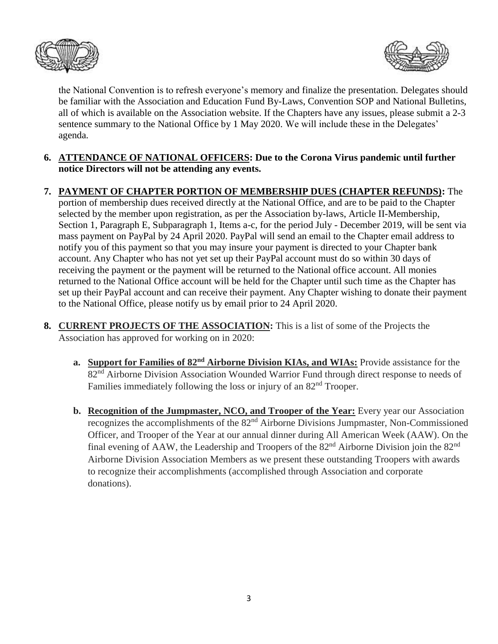



the National Convention is to refresh everyone's memory and finalize the presentation. Delegates should be familiar with the Association and Education Fund By-Laws, Convention SOP and National Bulletins, all of which is available on the Association website. If the Chapters have any issues, please submit a 2-3 sentence summary to the National Office by 1 May 2020. We will include these in the Delegates' agenda.

- **6. ATTENDANCE OF NATIONAL OFFICERS: Due to the Corona Virus pandemic until further notice Directors will not be attending any events.**
- **7. PAYMENT OF CHAPTER PORTION OF MEMBERSHIP DUES (CHAPTER REFUNDS):** The portion of membership dues received directly at the National Office, and are to be paid to the Chapter selected by the member upon registration, as per the Association by-laws, Article II-Membership, Section 1, Paragraph E, Subparagraph 1, Items a-c, for the period July - December 2019, will be sent via mass payment on PayPal by 24 April 2020. PayPal will send an email to the Chapter email address to notify you of this payment so that you may insure your payment is directed to your Chapter bank account. Any Chapter who has not yet set up their PayPal account must do so within 30 days of receiving the payment or the payment will be returned to the National office account. All monies returned to the National Office account will be held for the Chapter until such time as the Chapter has set up their PayPal account and can receive their payment. Any Chapter wishing to donate their payment to the National Office, please notify us by email prior to 24 April 2020.
- **8. CURRENT PROJECTS OF THE ASSOCIATION:** This is a list of some of the Projects the Association has approved for working on in 2020:
	- **a. Support for Families of 82nd Airborne Division KIAs, and WIAs:** Provide assistance for the 82<sup>nd</sup> Airborne Division Association Wounded Warrior Fund through direct response to needs of Families immediately following the loss or injury of an 82<sup>nd</sup> Trooper.
	- **b. Recognition of the Jumpmaster, NCO, and Trooper of the Year:** Every year our Association recognizes the accomplishments of the 82nd Airborne Divisions Jumpmaster, Non-Commissioned Officer, and Trooper of the Year at our annual dinner during All American Week (AAW). On the final evening of AAW, the Leadership and Troopers of the  $82<sup>nd</sup>$  Airborne Division join the  $82<sup>nd</sup>$ Airborne Division Association Members as we present these outstanding Troopers with awards to recognize their accomplishments (accomplished through Association and corporate donations).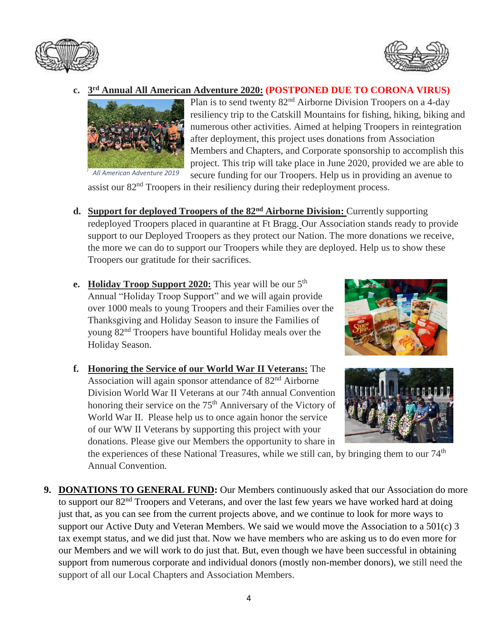



## **c. 3 rd Annual All American Adventure 2020: (POSTPONED DUE TO CORONA VIRUS)**



Plan is to send twenty 82nd Airborne Division Troopers on a 4-day resiliency trip to the Catskill Mountains for fishing, hiking, biking and numerous other activities. Aimed at helping Troopers in reintegration after deployment, this project uses donations from Association Members and Chapters, and Corporate sponsorship to accomplish this project. This trip will take place in June 2020, provided we are able to secure funding for our Troopers. Help us in providing an avenue to

assist our 82<sup>nd</sup> Troopers in their resiliency during their redeployment process.

- **d. Support for deployed Troopers of the 82nd Airborne Division:** Currently supporting redeployed Troopers placed in quarantine at Ft Bragg. Our Association stands ready to provide support to our Deployed Troopers as they protect our Nation. The more donations we receive, the more we can do to support our Troopers while they are deployed. Help us to show these Troopers our gratitude for their sacrifices.
- **e. Holiday Troop Support 2020:** This year will be our 5<sup>th</sup> Annual "Holiday Troop Support" and we will again provide over 1000 meals to young Troopers and their Families over the Thanksgiving and Holiday Season to insure the Families of young 82nd Troopers have bountiful Holiday meals over the Holiday Season.
- **f. Honoring the Service of our World War II Veterans:** The Association will again sponsor attendance of 82<sup>nd</sup> Airborne Division World War II Veterans at our 74th annual Convention honoring their service on the 75<sup>th</sup> Anniversary of the Victory of World War II. Please help us to once again honor the service of our WW II Veterans by supporting this project with your donations. Please give our Members the opportunity to share in





the experiences of these National Treasures, while we still can, by bringing them to our  $74<sup>th</sup>$ Annual Convention.

**9. DONATIONS TO GENERAL FUND:** Our Members continuously asked that our Association do more to support our 82<sup>nd</sup> Troopers and Veterans, and over the last few years we have worked hard at doing just that, as you can see from the current projects above, and we continue to look for more ways to support our Active Duty and Veteran Members. We said we would move the Association to a 501(c) 3 tax exempt status, and we did just that. Now we have members who are asking us to do even more for our Members and we will work to do just that. But, even though we have been successful in obtaining support from numerous corporate and individual donors (mostly non-member donors), we still need the support of all our Local Chapters and Association Members.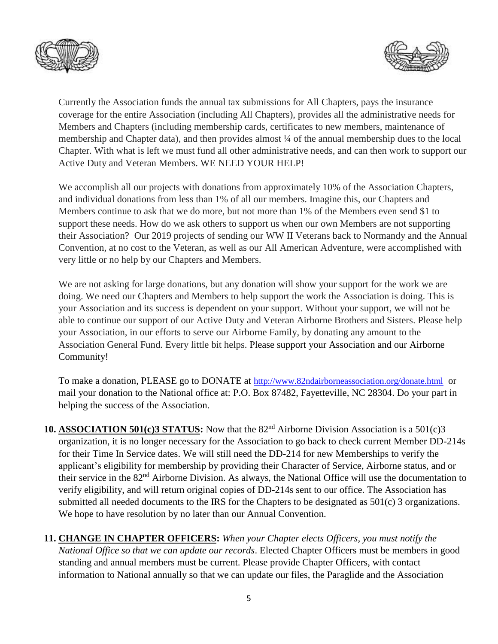



Currently the Association funds the annual tax submissions for All Chapters, pays the insurance coverage for the entire Association (including All Chapters), provides all the administrative needs for Members and Chapters (including membership cards, certificates to new members, maintenance of membership and Chapter data), and then provides almost ¼ of the annual membership dues to the local Chapter. With what is left we must fund all other administrative needs, and can then work to support our Active Duty and Veteran Members. WE NEED YOUR HELP!

We accomplish all our projects with donations from approximately 10% of the Association Chapters, and individual donations from less than 1% of all our members. Imagine this, our Chapters and Members continue to ask that we do more, but not more than 1% of the Members even send \$1 to support these needs. How do we ask others to support us when our own Members are not supporting their Association? Our 2019 projects of sending our WW II Veterans back to Normandy and the Annual Convention, at no cost to the Veteran, as well as our All American Adventure, were accomplished with very little or no help by our Chapters and Members.

We are not asking for large donations, but any donation will show your support for the work we are doing. We need our Chapters and Members to help support the work the Association is doing. This is your Association and its success is dependent on your support. Without your support, we will not be able to continue our support of our Active Duty and Veteran Airborne Brothers and Sisters. Please help your Association, in our efforts to serve our Airborne Family, by donating any amount to the Association General Fund. Every little bit helps. Please support your Association and our Airborne Community!

To make a donation, PLEASE go to DONATE at <http://www.82ndairborneassociation.org/donate.html> or mail your donation to the National office at: P.O. Box 87482, Fayetteville, NC 28304. Do your part in helping the success of the Association.

- **10. ASSOCIATION 501(c)3 STATUS:** Now that the 82<sup>nd</sup> Airborne Division Association is a 501(c)3 organization, it is no longer necessary for the Association to go back to check current Member DD-214s for their Time In Service dates. We will still need the DD-214 for new Memberships to verify the applicant's eligibility for membership by providing their Character of Service, Airborne status, and or their service in the 82<sup>nd</sup> Airborne Division. As always, the National Office will use the documentation to verify eligibility, and will return original copies of DD-214s sent to our office. The Association has submitted all needed documents to the IRS for the Chapters to be designated as 501(c) 3 organizations. We hope to have resolution by no later than our Annual Convention.
- **11. CHANGE IN CHAPTER OFFICERS:** *When your Chapter elects Officers, you must notify the National Office so that we can update our records*. Elected Chapter Officers must be members in good standing and annual members must be current. Please provide Chapter Officers, with contact information to National annually so that we can update our files, the Paraglide and the Association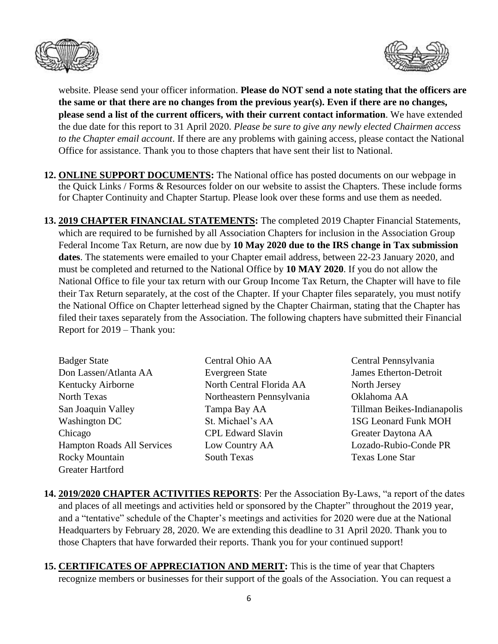



website. Please send your officer information. **Please do NOT send a note stating that the officers are the same or that there are no changes from the previous year(s). Even if there are no changes, please send a list of the current officers, with their current contact information**. We have extended the due date for this report to 31 April 2020. *Please be sure to give any newly elected Chairmen access to the Chapter email account*. If there are any problems with gaining access, please contact the National Office for assistance. Thank you to those chapters that have sent their list to National.

- **12. ONLINE SUPPORT DOCUMENTS:** The National office has posted documents on our webpage in the Quick Links / Forms & Resources folder on our website to assist the Chapters. These include forms for Chapter Continuity and Chapter Startup. Please look over these forms and use them as needed.
- **13. 2019 CHAPTER FINANCIAL STATEMENTS:** The completed 2019 Chapter Financial Statements, which are required to be furnished by all Association Chapters for inclusion in the Association Group Federal Income Tax Return, are now due by **10 May 2020 due to the IRS change in Tax submission dates**. The statements were emailed to your Chapter email address, between 22-23 January 2020, and must be completed and returned to the National Office by **10 MAY 2020**. If you do not allow the National Office to file your tax return with our Group Income Tax Return, the Chapter will have to file their Tax Return separately, at the cost of the Chapter. If your Chapter files separately, you must notify the National Office on Chapter letterhead signed by the Chapter Chairman, stating that the Chapter has filed their taxes separately from the Association. The following chapters have submitted their Financial Report for 2019 – Thank you:

| <b>Badger State</b>               |
|-----------------------------------|
| Don Lassen/Atlanta AA             |
| Kentucky Airborne                 |
| North Texas                       |
| San Joaquin Valley                |
| <b>Washington DC</b>              |
| Chicago                           |
| <b>Hampton Roads All Services</b> |
| <b>Rocky Mountain</b>             |
| Greater Hartford                  |
|                                   |

- Central Ohio AA Central Pennsylvania Evergreen State James Etherton-Detroit North Central Florida AA North Jersey Northeastern Pennsylvania Oklahoma AA St. Michael's AA 1SG Leonard Funk MOH CPL Edward Slavin Greater Daytona AA Low Country AA Lozado-Rubio-Conde PR South Texas **South Texas** Texas Lone Star
- Tampa Bay AA Tillman Beikes-Indianapolis
- **14. 2019/2020 CHAPTER ACTIVITIES REPORTS**: Per the Association By-Laws, "a report of the dates and places of all meetings and activities held or sponsored by the Chapter" throughout the 2019 year, and a "tentative" schedule of the Chapter's meetings and activities for 2020 were due at the National Headquarters by February 28, 2020. We are extending this deadline to 31 April 2020. Thank you to those Chapters that have forwarded their reports. Thank you for your continued support!
- **15. CERTIFICATES OF APPRECIATION AND MERIT:** This is the time of year that Chapters recognize members or businesses for their support of the goals of the Association. You can request a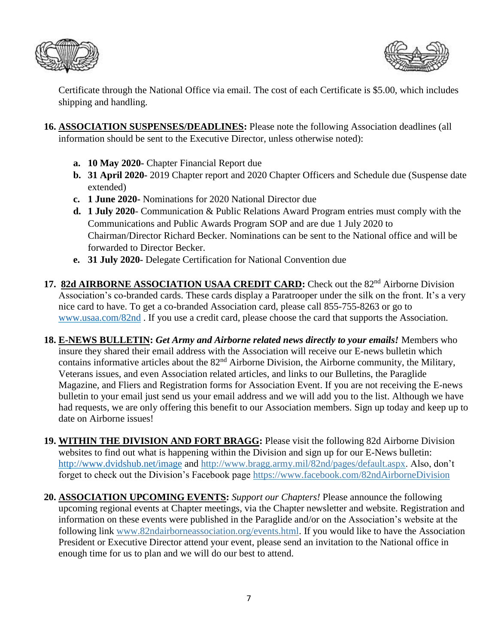



Certificate through the National Office via email. The cost of each Certificate is \$5.00, which includes shipping and handling.

- **16. ASSOCIATION SUSPENSES/DEADLINES:** Please note the following Association deadlines (all information should be sent to the Executive Director, unless otherwise noted):
	- **a. 10 May 2020-** Chapter Financial Report due
	- **b. 31 April 2020-** 2019 Chapter report and 2020 Chapter Officers and Schedule due (Suspense date extended)
	- **c. 1 June 2020-** Nominations for 2020 National Director due
	- **d. 1 July 2020** Communication & Public Relations Award Program entries must comply with the Communications and Public Awards Program SOP and are due 1 July 2020 to Chairman/Director Richard Becker. Nominations can be sent to the National office and will be forwarded to Director Becker.
	- **e. 31 July 2020-** Delegate Certification for National Convention due
- 17. 82d AIRBORNE ASSOCIATION USAA CREDIT CARD: Check out the 82<sup>nd</sup> Airborne Division Association's co-branded cards. These cards display a Paratrooper under the silk on the front. It's a very nice card to have. To get a co-branded Association card, please call 855-755-8263 or go to [www.usaa.com/82nd](http://www.usaa.com/82nd) . If you use a credit card, please choose the card that supports the Association.
- **18. E-NEWS BULLETIN:** *Get Army and Airborne related news directly to your emails!* Members who insure they shared their email address with the Association will receive our E-news bulletin which contains informative articles about the 82<sup>nd</sup> Airborne Division, the Airborne community, the Military, Veterans issues, and even Association related articles, and links to our Bulletins, the Paraglide Magazine, and Fliers and Registration forms for Association Event. If you are not receiving the E-news bulletin to your email just send us your email address and we will add you to the list. Although we have had requests, we are only offering this benefit to our Association members. Sign up today and keep up to date on Airborne issues!
- **19. WITHIN THE DIVISION AND FORT BRAGG:** Please visit the following 82d Airborne Division websites to find out what is happening within the Division and sign up for our E-News bulletin: <http://www.dvidshub.net/image> and [http://www.bragg.army.mil/82nd/pages/default.aspx.](http://www.bragg.army.mil/82ND/Pages/default.aspx) Also, don't forget to check out the Division's Facebook page<https://www.facebook.com/82ndAirborneDivision>
- **20. ASSOCIATION UPCOMING EVENTS:** *Support our Chapters!* Please announce the following upcoming regional events at Chapter meetings, via the Chapter newsletter and website. Registration and information on these events were published in the Paraglide and/or on the Association's website at the following link [www.82ndairborneassociation.org/events.html.](http://www.82ndairborneassociation.org/events.html) If you would like to have the Association President or Executive Director attend your event, please send an invitation to the National office in enough time for us to plan and we will do our best to attend.